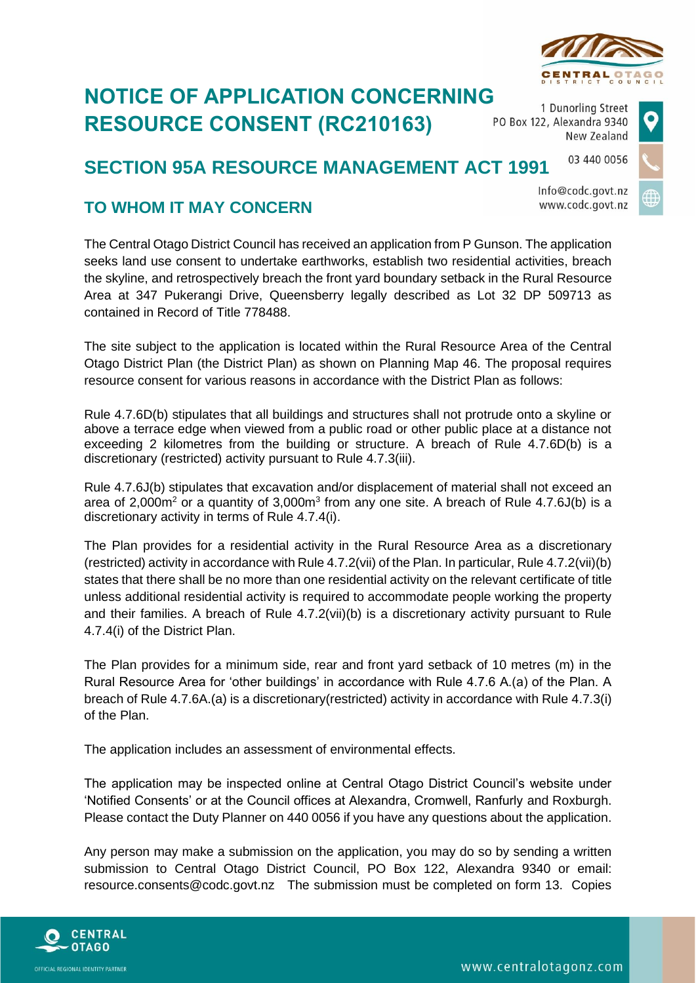

## **NOTICE OF APPLICATION CONCERNING RESOURCE CONSENT (RC210163)**

1 Dunorling Street PO Box 122, Alexandra 9340 New Zealand

## 03 440 0056 **SECTION 95A RESOURCE MANAGEMENT ACT 1991**

Info@codc.govt.nz www.codc.govt.nz

## **TO WHOM IT MAY CONCERN**

The Central Otago District Council has received an application from P Gunson. The application seeks land use consent to undertake earthworks, establish two residential activities, breach the skyline, and retrospectively breach the front yard boundary setback in the Rural Resource Area at 347 Pukerangi Drive, Queensberry legally described as Lot 32 DP 509713 as contained in Record of Title 778488.

The site subject to the application is located within the Rural Resource Area of the Central Otago District Plan (the District Plan) as shown on Planning Map 46. The proposal requires resource consent for various reasons in accordance with the District Plan as follows:

Rule 4.7.6D(b) stipulates that all buildings and structures shall not protrude onto a skyline or above a terrace edge when viewed from a public road or other public place at a distance not exceeding 2 kilometres from the building or structure. A breach of Rule 4.7.6D(b) is a discretionary (restricted) activity pursuant to Rule 4.7.3(iii).

Rule 4.7.6J(b) stipulates that excavation and/or displacement of material shall not exceed an area of 2,000 $m^2$  or a quantity of 3,000 $m^3$  from any one site. A breach of Rule 4.7.6J(b) is a discretionary activity in terms of Rule 4.7.4(i).

The Plan provides for a residential activity in the Rural Resource Area as a discretionary (restricted) activity in accordance with Rule 4.7.2(vii) of the Plan. In particular, Rule 4.7.2(vii)(b) states that there shall be no more than one residential activity on the relevant certificate of title unless additional residential activity is required to accommodate people working the property and their families. A breach of Rule 4.7.2(vii)(b) is a discretionary activity pursuant to Rule 4.7.4(i) of the District Plan.

The Plan provides for a minimum side, rear and front yard setback of 10 metres (m) in the Rural Resource Area for 'other buildings' in accordance with Rule 4.7.6 A.(a) of the Plan. A breach of Rule 4.7.6A.(a) is a discretionary(restricted) activity in accordance with Rule 4.7.3(i) of the Plan.

The application includes an assessment of environmental effects.

The application may be inspected online at Central Otago District Council's website under 'Notified Consents' or at the Council offices at Alexandra, Cromwell, Ranfurly and Roxburgh. Please contact the Duty Planner on 440 0056 if you have any questions about the application.

Any person may make a submission on the application, you may do so by sending a written submission to Central Otago District Council, PO Box 122, Alexandra 9340 or email: resource.consents@codc.govt.nz The submission must be completed on form 13. Copies